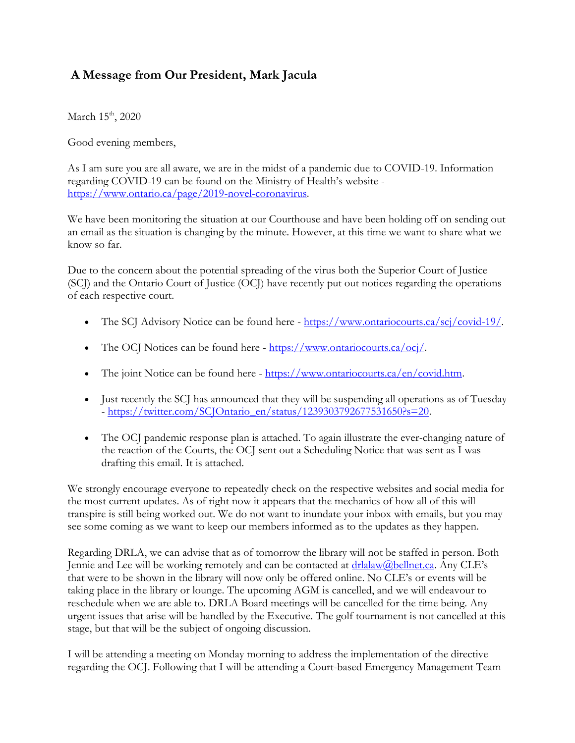## **A Message from Our President, Mark Jacula**

March 15<sup>th</sup>, 2020

Good evening members,

As I am sure you are all aware, we are in the midst of a pandemic due to COVID-19. Information regarding COVID-19 can be found on the Ministry of Health's website [https://www.ontario.ca/page/2019-novel-coronavirus.](https://www.ontario.ca/page/2019-novel-coronavirus)

We have been monitoring the situation at our Courthouse and have been holding off on sending out an email as the situation is changing by the minute. However, at this time we want to share what we know so far.

Due to the concern about the potential spreading of the virus both the Superior Court of Justice (SCJ) and the Ontario Court of Justice (OCJ) have recently put out notices regarding the operations of each respective court.

- The SCJ Advisory Notice can be found here [https://www.ontariocourts.ca/scj/covid-19/.](https://www.ontariocourts.ca/scj/covid-19/)
- The OCJ Notices can be found here [https://www.ontariocourts.ca/ocj/.](https://www.ontariocourts.ca/ocj/)
- The joint Notice can be found here [https://www.ontariocourts.ca/en/covid.htm.](https://www.ontariocourts.ca/en/covid.htm)
- Just recently the SCJ has announced that they will be suspending all operations as of Tuesday - [https://twitter.com/SCJOntario\\_en/status/1239303792677531650?s=20.](https://twitter.com/SCJOntario_en/status/1239303792677531650?s=20)
- The OCJ pandemic response plan is attached. To again illustrate the ever-changing nature of the reaction of the Courts, the OCJ sent out a Scheduling Notice that was sent as I was drafting this email. It is attached.

We strongly encourage everyone to repeatedly check on the respective websites and social media for the most current updates. As of right now it appears that the mechanics of how all of this will transpire is still being worked out. We do not want to inundate your inbox with emails, but you may see some coming as we want to keep our members informed as to the updates as they happen.

Regarding DRLA, we can advise that as of tomorrow the library will not be staffed in person. Both Jennie and Lee will be working remotely and can be contacted at  $\frac{d \text{r} l \text{al}aw(\omega) \text{bellnet} \cdot ca}{d \text{r} l \text{el} \cdot ca}$ . Any CLE's that were to be shown in the library will now only be offered online. No CLE's or events will be taking place in the library or lounge. The upcoming AGM is cancelled, and we will endeavour to reschedule when we are able to. DRLA Board meetings will be cancelled for the time being. Any urgent issues that arise will be handled by the Executive. The golf tournament is not cancelled at this stage, but that will be the subject of ongoing discussion.

I will be attending a meeting on Monday morning to address the implementation of the directive regarding the OCJ. Following that I will be attending a Court-based Emergency Management Team